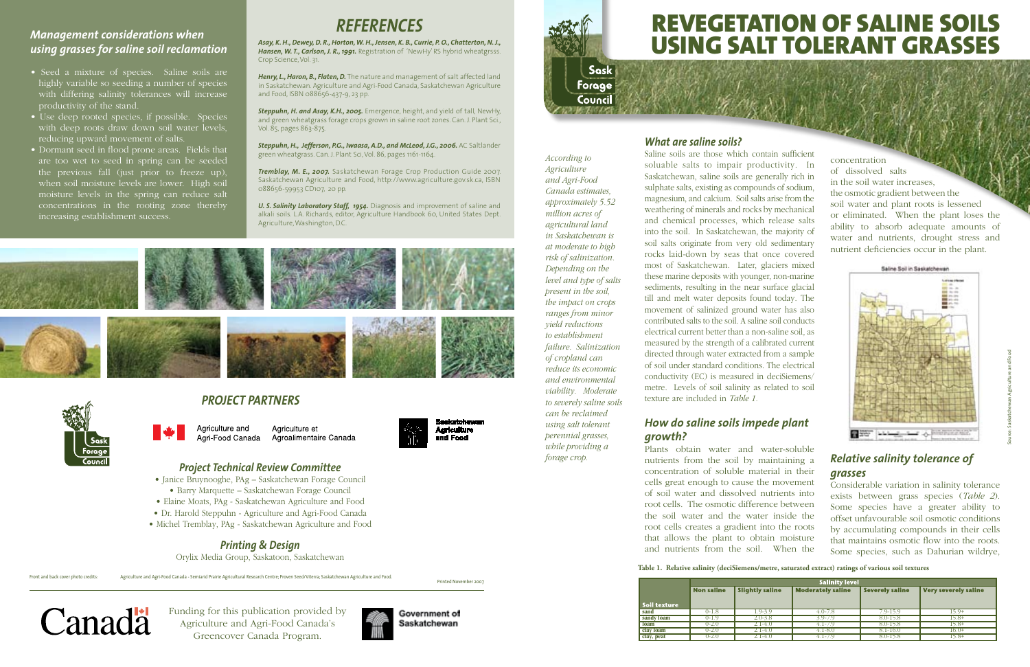Front and back cover photo credits: Agriculture and Agri-Food Canada - Semiarid Prairie Agricultural Research Centre; Proven Seed/Viterra; Saskatchewan Agriculture and Food.



Saline soils are those which contain sufficient soluable salts to impair productivity. In Saskatchewan, saline soils are generally rich in sulphate salts, existing as compounds of sodium, magnesium, and calcium. Soil salts arise from the weathering of minerals and rocks by mechanical and chemical processes, which release salts into the soil. In Saskatchewan, the majority of soil salts originate from very old sedimentary rocks laid-down by seas that once covered most of Saskatchewan. Later, glaciers mixed these marine deposits with younger, non-marine sediments, resulting in the near surface glacial till and melt water deposits found today. The movement of salinized ground water has also contributed salts to the soil. A saline soil conducts electrical current better than a non-saline soil, as measured by the strength of a calibrated current directed through water extracted from a sample of soil under standard conditions. The electrical conductivity (EC) is measured in deciSiemens/ metre. Levels of soil salinity as related to soil texture are included in *Table 1.*

# *How do saline soils impede plant growth?*

Plants obtain water and water-soluble nutrients from the soil by maintaining a concentration of soluble material in their cells great enough to cause the movement of soil water and dissolved nutrients into root cells. The osmotic difference between the soil water and the water inside the root cells creates a gradient into the roots that allows the plant to obtain moisture and nutrients from the soil. When the

Steppuhn, H., Jefferson, P.G., Iwaasa, A.D., and McLeod, J.G., 2006. AC Saltlander green wheatgrass. Can. J. Plant Sci, Vol. 86, pages 1161-1164.

*According to Agriculture and Agri-Food Canada estimates, approximately 5.52 million acres of agricultural land in Saskatchewan is at moderate to high risk of salinization. Depending on the level and type of salts present in the soil, the impact on crops ranges from minor yield reductions to establishment failure. Salinization of cropland can reduce its economic and environmental viability. Moderate to severely saline soils can be reclaimed using salt tolerant perennial grasses, while providing a forage crop.*

*U. S. Salinity Laboratory Staff, 1954. Diagnosis and improvement of saline and* alkali soils. L.A. Richards, editor, Agriculture Handbook 60, United States Dept. Agriculture, Washington, D.C.





# REVEGETATION OF SALINE SOILS USING SALT TOLERANT GRASSES

Funding for this publication provided by Agriculture and Agri-Food Canada's Greencover Canada Program.





## *Project Technical Review Committee*

- Janice Bruynooghe, PAg Saskatchewan Forage Council
	- Barry Marquette Saskatchewan Forage Council
- Elaine Moats, PAg Saskatchewan Agriculture and Food
- Dr. Harold Steppuhn Agriculture and Agri-Food Canada
- Michel Tremblay, PAg Saskatchewan Agriculture and Food

## *Printing & Design*

Orylix Media Group, Saskatoon, Saskatchewan

# *Project Partners*

Agriculture and Agriculture et Agroalimentaire Canada Agri-Food Canada

Printed November 2007

Saskatchewan

**Agriculture** 

and Food

Canadä

|              |                   | <b>Salinity level</b>  |                          |                        |                             |  |  |  |  |
|--------------|-------------------|------------------------|--------------------------|------------------------|-----------------------------|--|--|--|--|
|              | <b>Non saline</b> | <b>Slightly saline</b> | <b>Moderately saline</b> | <b>Severely saline</b> | <b>Very severely saline</b> |  |  |  |  |
|              |                   |                        |                          |                        |                             |  |  |  |  |
| Soil texture |                   |                        |                          |                        |                             |  |  |  |  |
| sand         | 0-1.8             | 1.9-3.9                | $4.0 - 7.8$              | $-9 - 15.9$            | 15 O+                       |  |  |  |  |
| sandy loam   | 0-1.9             | $2.0 - 3.8$            | $3.9 - 7.9$              | $8.0 - 15.8$           | $15.8+$                     |  |  |  |  |
| loam         | $0 - 2.0$         | 2.1-4.0                | 4.1-7.9                  | $8.0 - 15.8$           | $15.8+$                     |  |  |  |  |
| clay loam    | $0 - 2.0$         | $2.1 - 4.0$            | $4.1 - 8.0$              | $8.1 - 16.0$           | $16.0+$                     |  |  |  |  |
| clay, peat   | $0 - 2.0$         | 2.1-4.0                | $4.1 - 7.9$              | 8.0-15.8               | $15.8+$                     |  |  |  |  |
|              |                   |                        |                          |                        |                             |  |  |  |  |

# *References*

*Asay, K. H., Dewey, D. R., Horton, W. H., Jensen, K. B., Currie, P. O., Chatterton, N. J., Hansen, W. T., Carlson, J. R., 1991.* Registration of 'NewHy' RS hybrid wheatgrsss. Crop Science, Vol. 31.

*Henry, L., Haron, B., Flaten, D.* The nature and management of salt affected land in Saskatchewan. Agriculture and Agri-Food Canada, Saskatchewan Agriculture and Food, ISBN 088656-437-9, 23 pp.

*Steppuhn, H. and Asay, K.H., 2005.* Emergence, height, and yield of tall, NewHy, and green wheatgrass forage crops grown in saline root zones. Can. J. Plant Sci., Vol. 85, pages 863-875.

*Tremblay, M. E., 2007.* Saskatchewan Forage Crop Production Guide 2007. Saskatchewan Agriculture and Food, http://www.agriculture.gov.sk.ca, ISBN 088656-59953 CD107, 20 pp.

**Table 1. Relative salinity (deciSiemens/metre, saturated extract) ratings of various soil textures**

concentration of dissolved salts in the soil water increases, the osmotic gradient between the soil water and plant roots is lessened or eliminated. When the plant loses the ability to absorb adequate amounts of water and nutrients, drought stress and nutrient deficiencies occur in the plant.



# *Relative salinity tolerance of grasses*

Considerable variation in salinity tolerance exists between grass species (*Table 2*). Some species have a greater ability to offset unfavourable soil osmotic conditions by accumulating compounds in their cells that maintains osmotic flow into the roots. Some species, such as Dahurian wildrye,

# *Management considerations when using grasses for saline soil reclamation*

- Seed a mixture of species. Saline soils are highly variable so seeding a number of species with differing salinity tolerances will increase productivity of the stand.
- Use deep rooted species, if possible. Species with deep roots draw down soil water levels, reducing upward movement of salts.
- Dormant seed in flood prone areas. Fields that are too wet to seed in spring can be seeded the previous fall (just prior to freeze up), when soil moisture levels are lower. High soil moisture levels in the spring can reduce salt concentrations in the rooting zone thereby increasing establishment success.